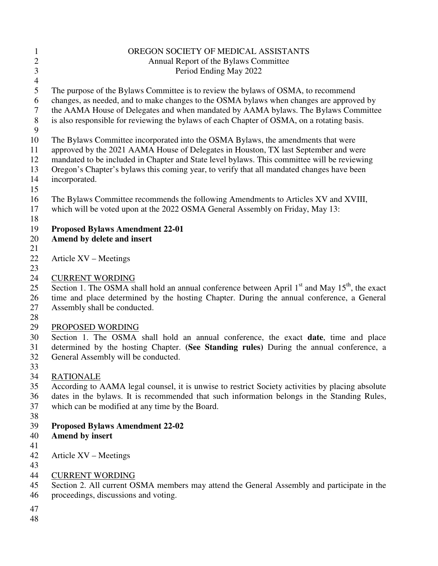| $\mathbf{1}$     | OREGON SOCIETY OF MEDICAL ASSISTANTS                                                               |
|------------------|----------------------------------------------------------------------------------------------------|
| $\overline{c}$   | Annual Report of the Bylaws Committee                                                              |
| $\overline{3}$   | Period Ending May 2022                                                                             |
| $\overline{4}$   |                                                                                                    |
| 5                | The purpose of the Bylaws Committee is to review the bylaws of OSMA, to recommend                  |
| 6                | changes, as needed, and to make changes to the OSMA bylaws when changes are approved by            |
| $\boldsymbol{7}$ | the AAMA House of Delegates and when mandated by AAMA bylaws. The Bylaws Committee                 |
| $\,8\,$          | is also responsible for reviewing the bylaws of each Chapter of OSMA, on a rotating basis.         |
| 9                |                                                                                                    |
| 10               | The Bylaws Committee incorporated into the OSMA Bylaws, the amendments that were                   |
| 11               | approved by the 2021 AAMA House of Delegates in Houston, TX last September and were                |
| 12               | mandated to be included in Chapter and State level bylaws. This committee will be reviewing        |
| 13               | Oregon's Chapter's bylaws this coming year, to verify that all mandated changes have been          |
| 14               | incorporated.                                                                                      |
| 15               |                                                                                                    |
| 16               | The Bylaws Committee recommends the following Amendments to Articles XV and XVIII,                 |
| 17               | which will be voted upon at the 2022 OSMA General Assembly on Friday, May 13:                      |
| 18               |                                                                                                    |
| 19               | <b>Proposed Bylaws Amendment 22-01</b>                                                             |
| 20               | Amend by delete and insert                                                                         |
| 21               |                                                                                                    |
| 22               | Article XV – Meetings                                                                              |
| 23               |                                                                                                    |
| 24               | <b>CURRENT WORDING</b>                                                                             |
| 25               | Section 1. The OSMA shall hold an annual conference between April $1st$ and May $15th$ , the exact |
| 26               | time and place determined by the hosting Chapter. During the annual conference, a General          |
| 27               | Assembly shall be conducted.                                                                       |
| 28               |                                                                                                    |
| 29               | PROPOSED WORDING                                                                                   |
| 30               | Section 1. The OSMA shall hold an annual conference, the exact <b>date</b> , time and place        |
| 31               | determined by the hosting Chapter. (See Standing rules) During the annual conference, a            |
| 32               | General Assembly will be conducted.                                                                |
| 33               |                                                                                                    |
| 34               | <b>RATIONALE</b>                                                                                   |
| 35               | According to AAMA legal counsel, it is unwise to restrict Society activities by placing absolute   |
| 36               | dates in the bylaws. It is recommended that such information belongs in the Standing Rules,        |
| 37               | which can be modified at any time by the Board.                                                    |
| 38               |                                                                                                    |
| 39               | <b>Proposed Bylaws Amendment 22-02</b>                                                             |
| 40               | <b>Amend by insert</b>                                                                             |
| 41               |                                                                                                    |
| 42               | Article XV – Meetings                                                                              |
| 43               |                                                                                                    |
| 44               | <b>CURRENT WORDING</b>                                                                             |
| 45               | Section 2. All current OSMA members may attend the General Assembly and participate in the         |
| 46               | proceedings, discussions and voting.                                                               |
| 47               |                                                                                                    |
| 48               |                                                                                                    |
|                  |                                                                                                    |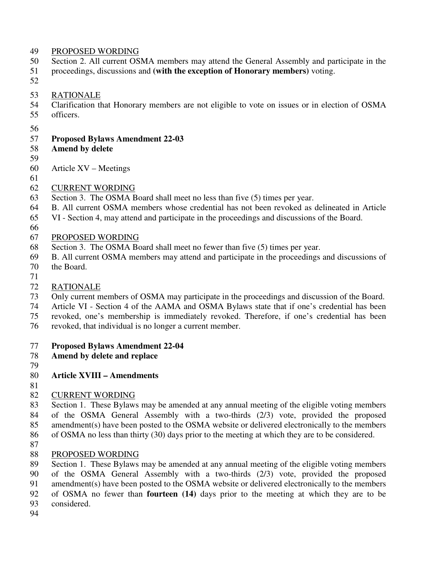#### 49 PROPOSED WORDING

- 50 Section 2. All current OSMA members may attend the General Assembly and participate in the
- 51 proceedings, discussions and **(with the exception of Honorary members)** voting.
- 52

#### 53 RATIONALE

- 54 Clarification that Honorary members are not eligible to vote on issues or in election of OSMA
- 55 officers.
- 56

# 57 **Proposed Bylaws Amendment 22-03**

- 58 **Amend by delete**
- 59
- 60 Article XV Meetings
- 61
- 62 CURRENT WORDING
- 63 Section 3. The OSMA Board shall meet no less than five (5) times per year.
- 64 B. All current OSMA members whose credential has not been revoked as delineated in Article
- 65 VI Section 4, may attend and participate in the proceedings and discussions of the Board.
- 66

# 67 PROPOSED WORDING

- 68 Section 3. The OSMA Board shall meet no fewer than five (5) times per year.
- 69 B. All current OSMA members may attend and participate in the proceedings and discussions of
- 70 the Board.
- 71
- 72 RATIONALE
- 73 Only current members of OSMA may participate in the proceedings and discussion of the Board.
- 74 Article VI Section 4 of the AAMA and OSMA Bylaws state that if one's credential has been
- 75 revoked, one's membership is immediately revoked. Therefore, if one's credential has been
- 76 revoked, that individual is no longer a current member.

# 77 **Proposed Bylaws Amendment 22-04**

- 78 **Amend by delete and replace**
- 79
- 80 **Article XVIII Amendments**
- 81

# 82 CURRENT WORDING

- 83 Section 1. These Bylaws may be amended at any annual meeting of the eligible voting members 84 of the OSMA General Assembly with a two-thirds (2/3) vote, provided the proposed 85 amendment(s) have been posted to the OSMA website or delivered electronically to the members 86 of OSMA no less than thirty (30) days prior to the meeting at which they are to be considered.
- 87
- 88 PROPOSED WORDING
- 89 Section 1. These Bylaws may be amended at any annual meeting of the eligible voting members 90 of the OSMA General Assembly with a two-thirds (2/3) vote, provided the proposed
- 91 amendment(s) have been posted to the OSMA website or delivered electronically to the members
- 92 of OSMA no fewer than **fourteen (14)** days prior to the meeting at which they are to be
- 93 considered.
- 94